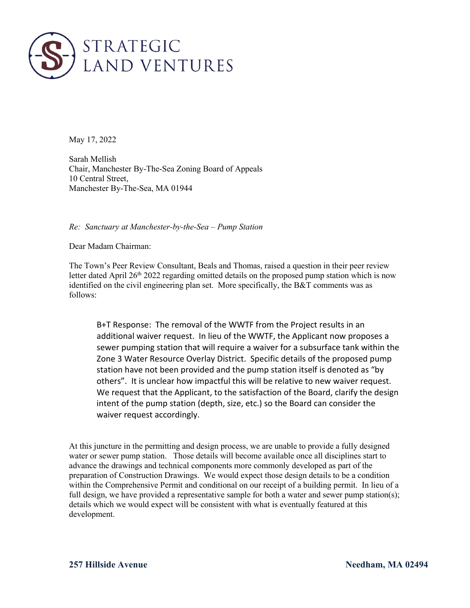

May 17, 2022

Sarah Mellish Chair, Manchester By-The-Sea Zoning Board of Appeals 10 Central Street, Manchester By-The-Sea, MA 01944

*Re: Sanctuary at Manchester-by-the-Sea – Pump Station*

Dear Madam Chairman:

The Town's Peer Review Consultant, Beals and Thomas, raised a question in their peer review letter dated April  $26<sup>th</sup> 2022$  regarding omitted details on the proposed pump station which is now identified on the civil engineering plan set. More specifically, the B&T comments was as follows:

B+T Response: The removal of the WWTF from the Project results in an additional waiver request. In lieu of the WWTF, the Applicant now proposes a sewer pumping station that will require a waiver for a subsurface tank within the Zone 3 Water Resource Overlay District. Specific details of the proposed pump station have not been provided and the pump station itself is denoted as "by others". It is unclear how impactful this will be relative to new waiver request. We request that the Applicant, to the satisfaction of the Board, clarify the design intent of the pump station (depth, size, etc.) so the Board can consider the waiver request accordingly.

At this juncture in the permitting and design process, we are unable to provide a fully designed water or sewer pump station. Those details will become available once all disciplines start to advance the drawings and technical components more commonly developed as part of the preparation of Construction Drawings. We would expect those design details to be a condition within the Comprehensive Permit and conditional on our receipt of a building permit. In lieu of a full design, we have provided a representative sample for both a water and sewer pump station(s); details which we would expect will be consistent with what is eventually featured at this development.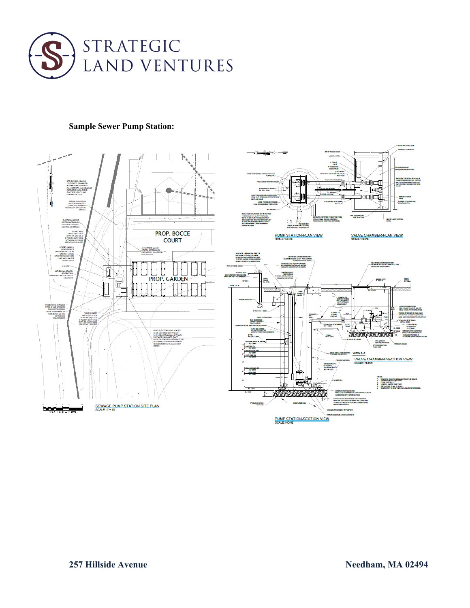

## **Sample Sewer Pump Station:**



RГ 桓魯

EV OF HOULDADING<br>Lindwan Accasulin

- RAS ALPHORT  $1700000$ 

15 | 1,000 P.S.) MINEM.<br>STRENGTH @ 28 (A1)

809580

⊐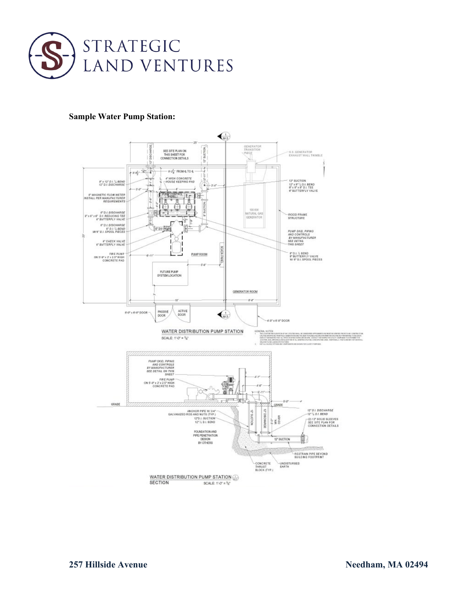

## **Sample Water Pump Station:**